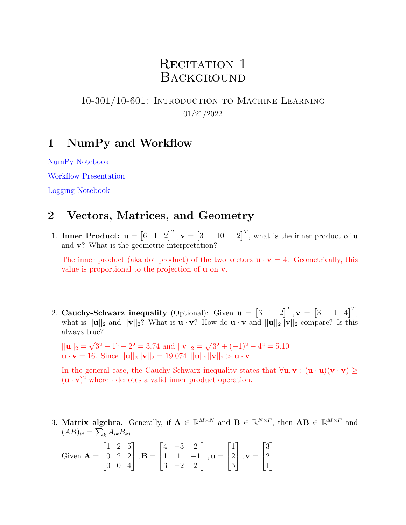# RECITATION 1 **BACKGROUND**

## 10-301/10-601: Introduction to Machine Learning 01/21/2022

## 1 NumPy and Workflow

[NumPy Notebook](https://drive.google.com/file/d/1qbjSYSCXj29-mkXm5cHU4X73NK3gyHy_/view?usp=sharing)

[Workflow Presentation](https://docs.google.com/presentation/d/1J17FiWiTsfw9v2Cncy822ukrCur1YKpQnkLVcATvdVM/edit?usp=sharing)

[Logging Notebook](https://drive.google.com/file/d/1quZP7QSVhy-sJjgIUp0Gw7oIUVUI3I9c/view?usp=sharing)

## 2 Vectors, Matrices, and Geometry

1. Inner Product:  $\mathbf{u} = \begin{bmatrix} 6 & 1 & 2 \end{bmatrix}^T$ ,  $\mathbf{v} = \begin{bmatrix} 3 & -10 & -2 \end{bmatrix}^T$ , what is the inner product of **u** and v? What is the geometric interpretation?

The inner product (aka dot product) of the two vectors  $\mathbf{u} \cdot \mathbf{v} = 4$ . Geometrically, this value is proportional to the projection of u on v.

2. Cauchy-Schwarz inequality (Optional): Given  $\mathbf{u} = \begin{bmatrix} 3 & 1 & 2 \end{bmatrix}^T$ ,  $\mathbf{v} = \begin{bmatrix} 3 & -1 & 4 \end{bmatrix}^T$ , what is  $||u||_2$  and  $||v||_2$ ? What is  $u \cdot v$ ? How do  $u \cdot v$  and  $||u||_2||v||_2$  compare? Is this always true?

 $||\mathbf{u}||_2 =$ √  $3^2 + 1^2 + 2^2 = 3.74$  and  $||\mathbf{v}||_2 = \sqrt{3^2 + (-1)^2 + 4^2} = 5.10$  $\mathbf{u} \cdot \mathbf{v} = 16$ . Since  $||\mathbf{u}||_2||\mathbf{v}||_2 = 19.074$ ,  $||\mathbf{u}||_2||\mathbf{v}||_2 > \mathbf{u} \cdot \mathbf{v}$ .

In the general case, the Cauchy-Schwarz inequality states that  $\forall u, v : (u \cdot u)(v \cdot v) \ge$  $(\mathbf{u} \cdot \mathbf{v})^2$  where  $\cdot$  denotes a valid inner product operation.

3. Matrix algebra. Generally, if  $\mathbf{A} \in \mathbb{R}^{M \times N}$  and  $\mathbf{B} \in \mathbb{R}^{N \times P}$ , then  $\mathbf{A}\mathbf{B} \in \mathbb{R}^{M \times P}$  and  $(AB)_{ij} = \sum_k A_{ik} B_{kj}.$ 

Given 
$$
\mathbf{A} = \begin{bmatrix} 1 & 2 & 5 \\ 0 & 2 & 2 \\ 0 & 0 & 4 \end{bmatrix}
$$
,  $\mathbf{B} = \begin{bmatrix} 4 & -3 & 2 \\ 1 & 1 & -1 \\ 3 & -2 & 2 \end{bmatrix}$ ,  $\mathbf{u} = \begin{bmatrix} 1 \\ 2 \\ 5 \end{bmatrix}$ ,  $\mathbf{v} = \begin{bmatrix} 3 \\ 2 \\ 1 \end{bmatrix}$ .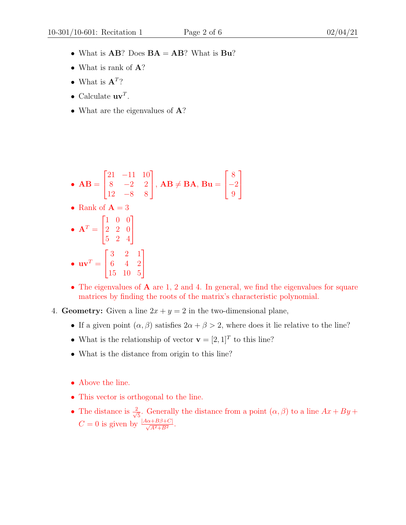- What is  $AB$ ? Does  $BA = AB$ ? What is  $Bu$ ?
- What is rank of **A**?
- What is  $\mathbf{A}^T$ ?
- Calculate  $\mathbf{u}\mathbf{v}^T$ .
- What are the eigenvalues of **A**?

• 
$$
AB = \begin{bmatrix} 21 & -11 & 10 \\ 8 & -2 & 2 \\ 12 & -8 & 8 \end{bmatrix}
$$
,  $AB \neq BA$ ,  $Bu = \begin{bmatrix} 8 \\ -2 \\ 9 \end{bmatrix}$   
\n•  $Rank$  of  $A = 3$   
\n•  $AT = \begin{bmatrix} 1 & 0 & 0 \\ 2 & 2 & 0 \\ 5 & 2 & 4 \end{bmatrix}$   
\n•  $uvT = \begin{bmatrix} 3 & 2 & 1 \\ 6 & 4 & 2 \\ 15 & 10 & 5 \end{bmatrix}$ 

- The eigenvalues of **A** are 1, 2 and 4. In general, we find the eigenvalues for square matrices by finding the roots of the matrix's characteristic polynomial.
- 4. Geometry: Given a line  $2x + y = 2$  in the two-dimensional plane,
	- If a given point  $(\alpha, \beta)$  satisfies  $2\alpha + \beta > 2$ , where does it lie relative to the line?
	- What is the relationship of vector  $\mathbf{v} = [2, 1]^T$  to this line?
	- What is the distance from origin to this line?
	- Above the line.
	- This vector is orthogonal to the line.
	- The distance is  $\frac{2}{\sqrt{2}}$  $\frac{1}{5}$ . Generally the distance from a point  $(\alpha, \beta)$  to a line  $Ax + By +$  $C = 0$  is given by  $\frac{|A\alpha + B\beta + C|}{\sqrt{A^2 + B^2}}$ .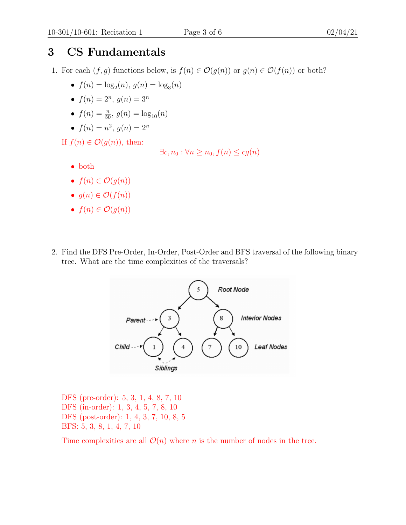# 3 CS Fundamentals

- 1. For each  $(f, g)$  functions below, is  $f(n) \in \mathcal{O}(g(n))$  or  $g(n) \in \mathcal{O}(f(n))$  or both?
	- $f(n) = \log_2(n), g(n) = \log_3(n)$
	- $f(n) = 2^n, g(n) = 3^n$
	- $f(n) = \frac{n}{50}, g(n) = \log_{10}(n)$
	- $f(n) = n^2, g(n) = 2^n$

If  $f(n) \in \mathcal{O}(q(n))$ , then:

```
\exists c, n_0 : \forall n \geq n_0, f(n) \leq cg(n)
```
- both
- $f(n) \in \mathcal{O}(q(n))$
- $q(n) \in \mathcal{O}(f(n))$
- $f(n) \in \mathcal{O}(q(n))$
- 2. Find the DFS Pre-Order, In-Order, Post-Order and BFS traversal of the following binary tree. What are the time complexities of the traversals?



DFS (pre-order): 5, 3, 1, 4, 8, 7, 10 DFS (in-order): 1, 3, 4, 5, 7, 8, 10 DFS (post-order): 1, 4, 3, 7, 10, 8, 5 BFS: 5, 3, 8, 1, 4, 7, 10

Time complexities are all  $\mathcal{O}(n)$  where n is the number of nodes in the tree.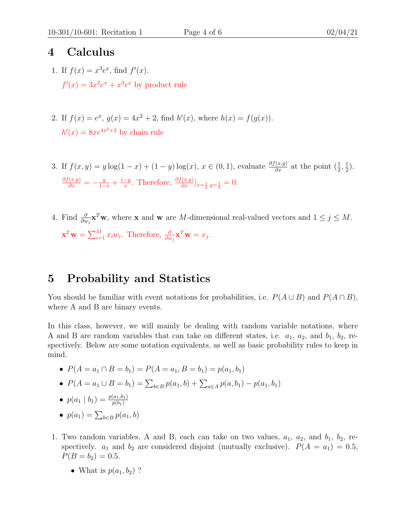### 4 Calculus

- 1. If  $f(x) = x^3 e^x$ , find  $f'(x)$ .  $f'(x) = 3x^2e^x + x^3e^x$  by product rule
- 2. If  $f(x) = e^x$ ,  $g(x) = 4x^2 + 2$ , find  $h'(x)$ , where  $h(x) = f(g(x))$ .  $h'(x) = 8xe^{4x^2+2}$  by chain rule
- 3. If  $f(x,y) = y \log(1-x) + (1-y) \log(x), x \in (0,1)$ , evaluate  $\frac{\partial f(x,y)}{\partial x}$  at the point  $(\frac{1}{2}, \frac{1}{2})$  $(\frac{1}{2})$ .  $\frac{\partial f(x,y)}{\partial x} = -\frac{y}{1-x} + \frac{1-y}{x}$  $\frac{-y}{x}$ . Therefore,  $\frac{\partial f(x,y)}{\partial x}|_{x=\frac{1}{2},y=\frac{1}{2}}=0$ .
- 4. Find  $\frac{\partial}{\partial w_j} \mathbf{x}^T \mathbf{w}$ , where **x** and **w** are *M*-dimensional real-valued vectors and  $1 \leq j \leq M$ .  $\mathbf{x}^T \mathbf{w} = \sum_{i=1}^M x_i w_i$ . Therefore,  $\frac{\partial}{\partial w_j} \mathbf{x}^T \mathbf{w} = x_j$ .

## 5 Probability and Statistics

You should be familiar with event notations for probabilities, i.e.  $P(A \cup B)$  and  $P(A \cap B)$ , where A and B are binary events.

In this class, however, we will mainly be dealing with random variable notations, where A and B are random variables that can take on different states, i.e.  $a_1$ ,  $a_2$ , and  $b_1$ ,  $b_2$ , respectively. Below are some notation equivalents, as well as basic probability rules to keep in mind.

- $P(A = a_1 \cap B = b_1) = P(A = a_1, B = b_1) = p(a_1, b_1)$
- $P(A = a_1 \cup B = b_1) = \sum_{b \in B} p(a_1, b) + \sum_{a \in A} p(a, b_1) p(a_1, b_1)$
- $p(a_1 | b_1) = \frac{p(a_1, b_1)}{p(b_1)}$
- $p(a_1) = \sum_{b \in B} p(a_1, b)$
- 1. Two random variables, A and B, each can take on two values,  $a_1$ ,  $a_2$ , and  $b_1$ ,  $b_2$ , respectively.  $a_1$  and  $b_2$  are considered disjoint (mutually exclusive).  $P(A = a_1) = 0.5$ ,  $P(B = b_2) = 0.5.$ 
	- What is  $p(a_1, b_2)$  ?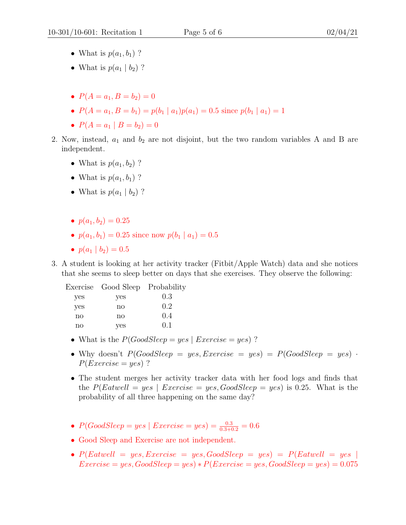- What is  $p(a_1, b_1)$  ?
- What is  $p(a_1 | b_2)$  ?
- $P(A = a_1, B = b_2) = 0$
- $P(A = a_1, B = b_1) = p(b_1 | a_1)p(a_1) = 0.5$  since  $p(b_1 | a_1) = 1$
- $P(A = a_1 | B = b_2) = 0$
- 2. Now, instead,  $a_1$  and  $b_2$  are not disjoint, but the two random variables A and B are independent.
	- What is  $p(a_1, b_2)$  ?
	- What is  $p(a_1, b_1)$  ?
	- What is  $p(a_1 | b_2)$  ?
	- $p(a_1, b_2) = 0.25$
	- $p(a_1, b_1) = 0.25$  since now  $p(b_1 | a_1) = 0.5$
	- $p(a_1 | b_2) = 0.5$
- 3. A student is looking at her activity tracker (Fitbit/Apple Watch) data and she notices that she seems to sleep better on days that she exercises. They observe the following:

|              | Exercise Good Sleep Probability |     |
|--------------|---------------------------------|-----|
| yes          | yes                             | 0.3 |
| yes          | $\mathbf{n}\mathbf{o}$          | 0.2 |
| $\mathbf{n}$ | $\mathbf{n}\mathbf{o}$          | 0.4 |
| no           | yes                             | 0.1 |

- What is the  $P(GoodSleep = yes \mid Exercise = yes)$ ?
- Why doesn't  $P(GoodSleep = yes, Exercise = yes) = P(GoodSleep = yes)$ .  $P(Exercise = yes)$ ?
- The student merges her activity tracker data with her food logs and finds that the  $P(Estwell = yes \mid Exercise = yes, GoodSleep = yes)$  is 0.25. What is the probability of all three happening on the same day?
- $P(GoodSleep = yes \mid Exercise = yes) = \frac{0.3}{0.3 + 0.2} = 0.6$
- Good Sleep and Exercise are not independent.
- $P(و = yes, Exercise = yes, GoodSleep = yes) = P(Extwell = yes)$  $Exercise = yes, Goodsleep = yes) * P(Exercise = yes, Goodsleep = yes) = 0.075$